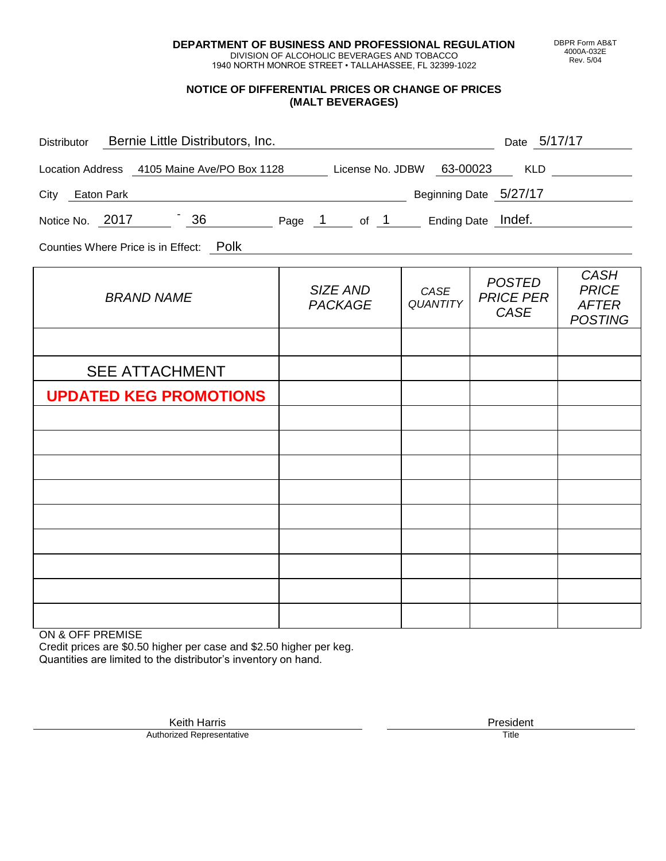**DEPARTMENT OF BUSINESS AND PROFESSIONAL REGULATION** DIVISION OF ALCOHOLIC BEVERAGES AND TOBACCO

1940 NORTH MONROE STREET • TALLAHASSEE, FL 32399-1022

## **NOTICE OF DIFFERENTIAL PRICES OR CHANGE OF PRICES (MALT BEVERAGES)**

| Distributor Bernie Little Distributors, Inc.                              | Date 5/17/17                      |                         |                                           |                                                               |  |
|---------------------------------------------------------------------------|-----------------------------------|-------------------------|-------------------------------------------|---------------------------------------------------------------|--|
| Location Address 4105 Maine Ave/PO Box 1128 License No. JDBW 63-00023 KLD |                                   |                         |                                           |                                                               |  |
| Beginning Date 5/27/17<br>City Eaton Park                                 |                                   |                         |                                           |                                                               |  |
| Notice No. 2017 36 Page 1 of 1 Ending Date Indef.                         |                                   |                         |                                           |                                                               |  |
| Counties Where Price is in Effect: Polk                                   |                                   |                         |                                           |                                                               |  |
| <b>BRAND NAME</b>                                                         | <b>SIZE AND</b><br><b>PACKAGE</b> | CASE<br><b>QUANTITY</b> | <b>POSTED</b><br><b>PRICE PER</b><br>CASE | <b>CASH</b><br><b>PRICE</b><br><b>AFTER</b><br><b>POSTING</b> |  |
|                                                                           |                                   |                         |                                           |                                                               |  |
| <b>SEE ATTACHMENT</b>                                                     |                                   |                         |                                           |                                                               |  |
| <b>UPDATED KEG PROMOTIONS</b>                                             |                                   |                         |                                           |                                                               |  |
|                                                                           |                                   |                         |                                           |                                                               |  |
|                                                                           |                                   |                         |                                           |                                                               |  |
|                                                                           |                                   |                         |                                           |                                                               |  |
|                                                                           |                                   |                         |                                           |                                                               |  |
|                                                                           |                                   |                         |                                           |                                                               |  |
|                                                                           |                                   |                         |                                           |                                                               |  |
|                                                                           |                                   |                         |                                           |                                                               |  |
|                                                                           |                                   |                         |                                           |                                                               |  |
|                                                                           |                                   |                         |                                           |                                                               |  |

ON & OFF PREMISE

Credit prices are \$0.50 higher per case and \$2.50 higher per keg. Quantities are limited to the distributor's inventory on hand.

Keith Harris **President** President President President President President President President President President<br>Prized Representative **President** Prize President Prize President Prize President Prize President Prize Pre Authorized Representative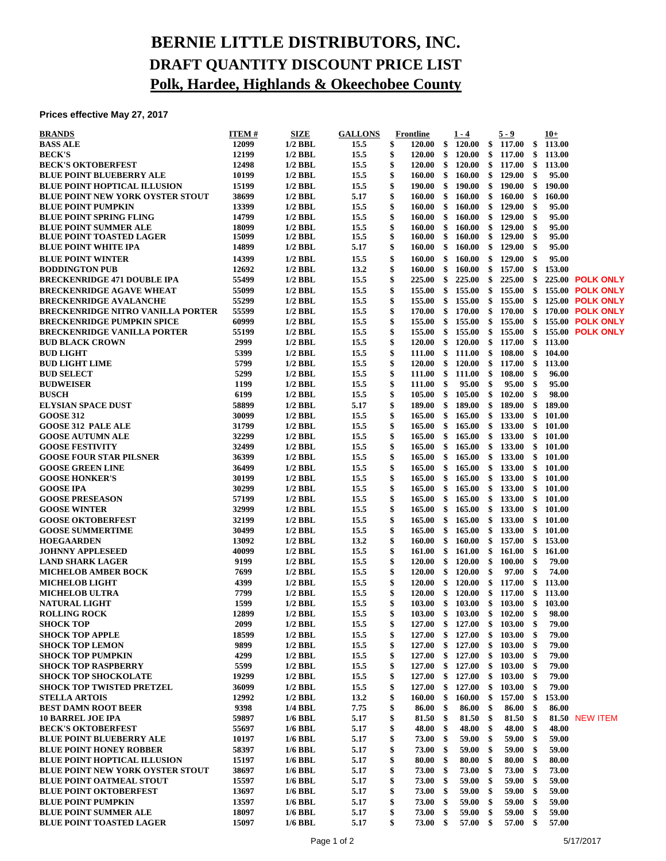## **BERNIE LITTLE DISTRIBUTORS, INC. DRAFT QUANTITY DISCOUNT PRICE LIST Polk, Hardee, Highlands & Okeechobee County**

**Prices effective May 27, 2017**

| <b>BRANDS</b>                                                                 | <b>ITEM#</b>   | <b>SIZE</b>            | <b>GALLONS</b> |          | <b>Frontline</b>                      |               | $1 - 4$                       |          | 5 - 9            |          | $10+$  |                                                    |
|-------------------------------------------------------------------------------|----------------|------------------------|----------------|----------|---------------------------------------|---------------|-------------------------------|----------|------------------|----------|--------|----------------------------------------------------|
| <b>BASS ALE</b>                                                               | 12099          | $1/2$ BBL              | 15.5           | \$       | 120.00                                | \$            | 120.00                        | \$       | 117.00           | \$       | 113.00 |                                                    |
| <b>BECK'S</b>                                                                 | 12199          | $1/2$ BBL              | 15.5           | \$       | 120.00                                | \$            | <b>120.00</b>                 | \$       | 117.00           | \$       | 113.00 |                                                    |
| <b>BECK'S OKTOBERFEST</b>                                                     | 12498          | $1/2$ BBL              | 15.5           | \$       | <b>120.00</b>                         | $\mathbf{\$}$ | <b>120.00</b>                 | \$       | 117.00           | \$       | 113.00 |                                                    |
| <b>BLUE POINT BLUEBERRY ALE</b>                                               | 10199          | $1/2$ BBL              | 15.5           | \$       | $160.00 \quad$ \$                     |               | 160.00                        | \$       | 129.00           | \$       | 95.00  |                                                    |
| <b>BLUE POINT HOPTICAL ILLUSION</b>                                           | 15199          | $1/2$ BBL              | 15.5           | \$       | 190.00                                | -\$           | 190.00                        | \$       | 190.00           | \$       | 190.00 |                                                    |
| <b>BLUE POINT NEW YORK OYSTER STOUT</b>                                       | 38699          | $1/2$ BBL              | 5.17           | \$       | 160.00                                | \$            | 160.00                        | \$       | 160.00           | \$       | 160.00 |                                                    |
| <b>BLUE POINT PUMPKIN</b>                                                     | 13399          | $1/2$ BBL              | 15.5           | \$       | 160.00                                | \$            | 160.00                        | \$       | 129.00           | \$       | 95.00  |                                                    |
| <b>BLUE POINT SPRING FLING</b>                                                | 14799          | $1/2$ BBL              | 15.5           | \$       | 160.00                                | \$            | 160.00                        | \$       | 129.00           | \$       | 95.00  |                                                    |
| <b>BLUE POINT SUMMER ALE</b>                                                  | 18099          | $1/2$ BBL              | 15.5           | \$       | 160.00                                | \$            | 160.00                        | \$       | 129.00           | \$       | 95.00  |                                                    |
| <b>BLUE POINT TOASTED LAGER</b>                                               | 15099          | $1/2$ BBL              | 15.5           | \$<br>\$ | 160.00                                | \$            | 160.00                        | \$       | 129.00           | \$       | 95.00  |                                                    |
| <b>BLUE POINT WHITE IPA</b>                                                   | 14899          | $1/2$ BBL              | 5.17           |          | $160.00\quad$ \$                      |               | 160.00                        | \$       | 129.00           | \$       | 95.00  |                                                    |
| <b>BLUE POINT WINTER</b>                                                      | 14399          | $1/2$ BBL              | 15.5           | \$       | 160.00                                | \$            | 160.00                        | \$       | 129.00           | \$       | 95.00  |                                                    |
| <b>BODDINGTON PUB</b>                                                         | 12692          | $1/2$ BBL              | 13.2           | \$       | 160.00                                | \$            | 160.00                        | \$       | 157.00           | \$       | 153.00 |                                                    |
| <b>BRECKENRIDGE 471 DOUBLE IPA</b>                                            | 55499<br>55099 | $1/2$ BBL<br>$1/2$ BBL | 15.5<br>15.5   | \$<br>\$ | $225.00\quad$ \$<br>$155.00 \quad$ \$ |               | 225.00<br>155.00              | \$<br>\$ | 225.00<br>155.00 | \$<br>\$ |        | <b>225.00 POLK ONLY</b><br><b>155.00 POLK ONLY</b> |
| <b>BRECKENRIDGE AGAVE WHEAT</b><br><b>BRECKENRIDGE AVALANCHE</b>              | 55299          |                        | 15.5           | \$       | $155.00\quad$ \$                      |               | 155.00                        | \$       | 155.00           |          |        | <b>125.00 POLK ONLY</b>                            |
|                                                                               | 55599          | $1/2$ BBL<br>$1/2$ BBL | 15.5           |          | 170.00                                | \$            | 170.00                        | \$       | 170.00           | \$<br>\$ |        | 170.00 POLK ONLY                                   |
| <b>BRECKENRIDGE NITRO VANILLA PORTER</b><br><b>BRECKENRIDGE PUMPKIN SPICE</b> | 60999          | $1/2$ BBL              | 15.5           | \$<br>\$ | 155.00                                | \$            | 155.00                        | \$       | 155.00           | \$       |        | <b>155.00 POLK ONLY</b>                            |
| <b>BRECKENRIDGE VANILLA PORTER</b>                                            | 55199          | $1/2$ BBL              | 15.5           | \$       | $155.00 \text{ }$ \$                  |               | 155.00                        | \$       | 155.00           | \$       |        | <b>155.00 POLK ONLY</b>                            |
| <b>BUD BLACK CROWN</b>                                                        | 2999           | $1/2$ BBL              | 15.5           | \$       | 120.00 S                              |               | <b>120.00</b>                 | \$       | 117.00           | \$       | 113.00 |                                                    |
| <b>BUD LIGHT</b>                                                              | 5399           | $1/2$ BBL              | 15.5           | \$       | 111.00 \$ 111.00                      |               |                               | \$       | 108.00           | \$       | 104.00 |                                                    |
| <b>BUD LIGHT LIME</b>                                                         | 5799           | $1/2$ BBL              | 15.5           | \$       | $120.00 \quad$ \$                     |               | <b>120.00</b>                 | \$       | 117.00           | \$       | 113.00 |                                                    |
| <b>BUD SELECT</b>                                                             | 5299           | $1/2$ BBL              | 15.5           | \$       | $111.00 \quad$ \$                     |               | 111.00                        | \$       | 108.00           | \$       | 96.00  |                                                    |
| <b>BUDWEISER</b>                                                              | 1199           | $1/2$ BBL              | 15.5           | \$       | $111.00 \quad$ \$                     |               | 95.00                         | \$       | 95.00            | \$       | 95.00  |                                                    |
| <b>BUSCH</b>                                                                  | 6199           | $1/2$ BBL              | 15.5           | \$       | 105.00 S                              |               | 105.00                        | \$       | 102.00           | \$       | 98.00  |                                                    |
| <b>ELYSIAN SPACE DUST</b>                                                     | 58899          | $1/2$ BBL              | 5.17           | \$       | $189.00 \quad$ \$                     |               | 189.00                        | \$       | 189.00           | \$       | 189.00 |                                                    |
| <b>GOOSE 312</b>                                                              | 30099          | $1/2$ BBL              | 15.5           | \$       | 165.00                                | \$            | 165.00                        | \$       | 133.00           | \$       | 101.00 |                                                    |
| <b>GOOSE 312 PALE ALE</b>                                                     | 31799          | $1/2$ BBL              | 15.5           | \$       | 165.00                                | \$            | 165.00                        | \$       | 133.00           | \$       | 101.00 |                                                    |
| <b>GOOSE AUTUMN ALE</b>                                                       | 32299          | $1/2$ BBL              | 15.5           | \$       | $165.00 \text{ }$ \$                  |               | 165.00                        | \$       | 133.00           | \$       | 101.00 |                                                    |
| <b>GOOSE FESTIVITY</b>                                                        | 32499          | $1/2$ BBL              | 15.5           | \$       | 165.00                                | -\$           | 165.00                        | \$       | 133.00           | \$       | 101.00 |                                                    |
| <b>GOOSE FOUR STAR PILSNER</b>                                                | 36399          | $1/2$ BBL              | 15.5           | \$       | 165.00                                | \$            | 165.00                        | \$       | 133.00           | \$       | 101.00 |                                                    |
| <b>GOOSE GREEN LINE</b>                                                       | 36499          | $1/2$ BBL              | 15.5           | \$       | 165.00                                | \$            | 165.00                        | \$       | 133.00           | \$       | 101.00 |                                                    |
| <b>GOOSE HONKER'S</b>                                                         | 30199          | $1/2$ BBL              | 15.5           | \$       | 165.00                                | \$            | 165.00                        | \$       | 133.00           | \$       | 101.00 |                                                    |
| <b>GOOSE IPA</b>                                                              | 30299          | $1/2$ BBL              | 15.5           | \$       | $165.00 \text{ }$ \$                  |               | 165.00                        | \$       | 133.00           | \$       | 101.00 |                                                    |
| <b>GOOSE PRESEASON</b>                                                        | 57199          | $1/2$ BBL              | 15.5           | \$       | 165.00                                | \$            | 165.00                        | \$       | 133.00           | \$       | 101.00 |                                                    |
| <b>GOOSE WINTER</b>                                                           | 32999          | $1/2$ BBL              | 15.5           | \$       | 165.00                                | \$            | 165.00                        | \$       | 133.00           | \$       | 101.00 |                                                    |
| <b>GOOSE OKTOBERFEST</b>                                                      | 32199          | $1/2$ BBL              | 15.5           | \$       | 165.00                                | \$            | 165.00                        | \$       | 133.00           | \$       | 101.00 |                                                    |
| <b>GOOSE SUMMERTIME</b>                                                       | 30499          | $1/2$ BBL              | 15.5           | \$       | 165.00                                | \$            | 165.00                        | \$       | 133.00           | \$       | 101.00 |                                                    |
| <b>HOEGAARDEN</b>                                                             | 13092          | $1/2$ BBL              | 13.2           | \$       | $160.00 \quad$ \$                     |               | 160.00                        | \$       | 157.00           | \$       | 153.00 |                                                    |
| <b>JOHNNY APPLESEED</b>                                                       | 40099          | $1/2$ BBL              | 15.5           | \$       | $161.00 \quad $$                      |               | 161.00                        | \$       | 161.00           | \$       | 161.00 |                                                    |
| <b>LAND SHARK LAGER</b>                                                       | 9199           | $1/2$ BBL              | 15.5           | \$       | $120.00 \quad$ \$                     |               | 120.00                        | -\$      | 100.00           | \$       | 79.00  |                                                    |
| <b>MICHELOB AMBER BOCK</b>                                                    | 7699           | $1/2$ BBL              | 15.5           | \$       | $120.00 \quad$ \$                     |               | 120.00                        | \$       | 97.00            | \$       | 74.00  |                                                    |
| <b>MICHELOB LIGHT</b>                                                         | 4399           | $1/2$ BBL              | 15.5           | \$       | $120.00 \quad$ \$                     |               | 120.00                        | \$       | 117.00           | \$       | 113.00 |                                                    |
| <b>MICHELOB ULTRA</b>                                                         | 7799           | $1/2$ BBL              | 15.5           | \$       |                                       |               | 120.00 \$ 120.00              | - \$     | 117.00           | \$       | 113.00 |                                                    |
| <b>NATURAL LIGHT</b>                                                          | 1599           | $1/2$ BBL              | 15.5           | \$       | 103.00 \$ 103.00                      |               |                               |          | \$103.00         | \$       | 103.00 |                                                    |
| <b>ROLLING ROCK</b>                                                           | 12899          | $1/2$ BBL              | 15.5           | \$       |                                       |               | 103.00 \$ 103.00 \$ 102.00 \$ |          |                  |          | 98.00  |                                                    |
| <b>SHOCK TOP</b>                                                              | 2099           | $1/2$ BBL              | 15.5           | \$       | 127.00                                | \$            | 127.00                        | \$       | 103.00           | \$       | 79.00  |                                                    |
| <b>SHOCK TOP APPLE</b>                                                        | 18599          | $1/2$ BBL              | 15.5           | \$       | 127.00                                | \$            | 127.00                        | \$       | 103.00           | \$       | 79.00  |                                                    |
| <b>SHOCK TOP LEMON</b>                                                        | 9899           | $1/2$ BBL              | 15.5           | \$       | $127.00 \quad$ \$                     |               | 127.00                        | \$       | 103.00           | \$       | 79.00  |                                                    |
| <b>SHOCK TOP PUMPKIN</b>                                                      | 4299           | $1/2$ BBL              | 15.5           | \$       | 127.00                                | - \$          | 127.00                        | \$       | 103.00           | \$       | 79.00  |                                                    |
| <b>SHOCK TOP RASPBERRY</b>                                                    | 5599           | $1/2$ BBL              | 15.5           | \$       | 127.00 \$ 127.00                      |               |                               | \$       | 103.00           | \$       | 79.00  |                                                    |
| <b>SHOCK TOP SHOCKOLATE</b>                                                   | 19299          | $1/2$ BBL              | 15.5           | \$       | 127.00                                | \$            | 127.00                        | \$       | 103.00           | \$       | 79.00  |                                                    |
| <b>SHOCK TOP TWISTED PRETZEL</b>                                              | 36099          | $1/2$ BBL              | 15.5           | \$       | 127.00                                | \$            | 127.00                        | \$       | 103.00           | \$       | 79.00  |                                                    |
| <b>STELLA ARTOIS</b>                                                          | 12992          | $1/2$ BBL              | 13.2           | \$       | $160.00\quad$ \$                      |               | 160.00                        | \$       | 157.00           | \$       | 153.00 |                                                    |
| <b>BEST DAMN ROOT BEER</b>                                                    | 9398           | 1/4 BBL                | 7.75           | \$       | 86.00                                 | \$            | 86.00                         | \$       | 86.00            | \$       | 86.00  |                                                    |
| <b>10 BARREL JOE IPA</b>                                                      | 59897          | $1/6$ BBL              | 5.17           | \$       | $81.50$ \$                            |               | 81.50                         | \$       | 81.50            | \$       |        | 81.50 NEW ITEM                                     |
| <b>BECK'S OKTOBERFEST</b>                                                     | 55697          | $1/6$ BBL              | 5.17           | \$       | 48.00                                 | \$            | 48.00                         | \$       | 48.00            | \$       | 48.00  |                                                    |
| <b>BLUE POINT BLUEBERRY ALE</b>                                               | 10197          | $1/6$ BBL              | 5.17           | \$       | 73.00                                 | \$            | 59.00                         | \$       | 59.00            | \$       | 59.00  |                                                    |
| <b>BLUE POINT HONEY ROBBER</b>                                                | 58397          | $1/6$ BBL              | 5.17           | \$       | 73.00                                 | \$            | 59.00                         | \$       | 59.00            | \$       | 59.00  |                                                    |
| <b>BLUE POINT HOPTICAL ILLUSION</b>                                           | 15197          | $1/6$ BBL              | 5.17           | \$       | 80.00                                 | \$            | 80.00                         | \$       | 80.00            | \$       | 80.00  |                                                    |
| <b>BLUE POINT NEW YORK OYSTER STOUT</b>                                       | 38697          | $1/6$ BBL              | 5.17           | \$       | 73.00                                 | \$            | 73.00                         | -\$      | 73.00            | \$       | 73.00  |                                                    |
| <b>BLUE POINT OATMEAL STOUT</b>                                               | 15597          | $1/6$ BBL              | 5.17           | \$       | 73.00                                 | \$            | 59.00                         | \$       | 59.00            | \$       | 59.00  |                                                    |
| <b>BLUE POINT OKTOBERFEST</b>                                                 | 13697          | $1/6$ BBL              | 5.17           | \$       | 73.00                                 | \$            | 59.00                         | \$       | 59.00            | \$       | 59.00  |                                                    |
| <b>BLUE POINT PUMPKIN</b>                                                     | 13597          | $1/6$ BBL              | 5.17           | \$       | 73.00                                 | \$            | 59.00                         | -\$      | 59.00            | \$       | 59.00  |                                                    |
| <b>BLUE POINT SUMMER ALE</b>                                                  | 18097          | $1/6$ BBL              | 5.17           | \$       | 73.00                                 | \$            | 59.00                         | -\$      | 59.00            | \$       | 59.00  |                                                    |
| <b>BLUE POINT TOASTED LAGER</b>                                               | 15097          | $1/6$ BBL              | 5.17           | \$       | $73.00\quad$ \$                       |               | $57.00\quad$ \$               |          | 57.00            | \$       | 57.00  |                                                    |